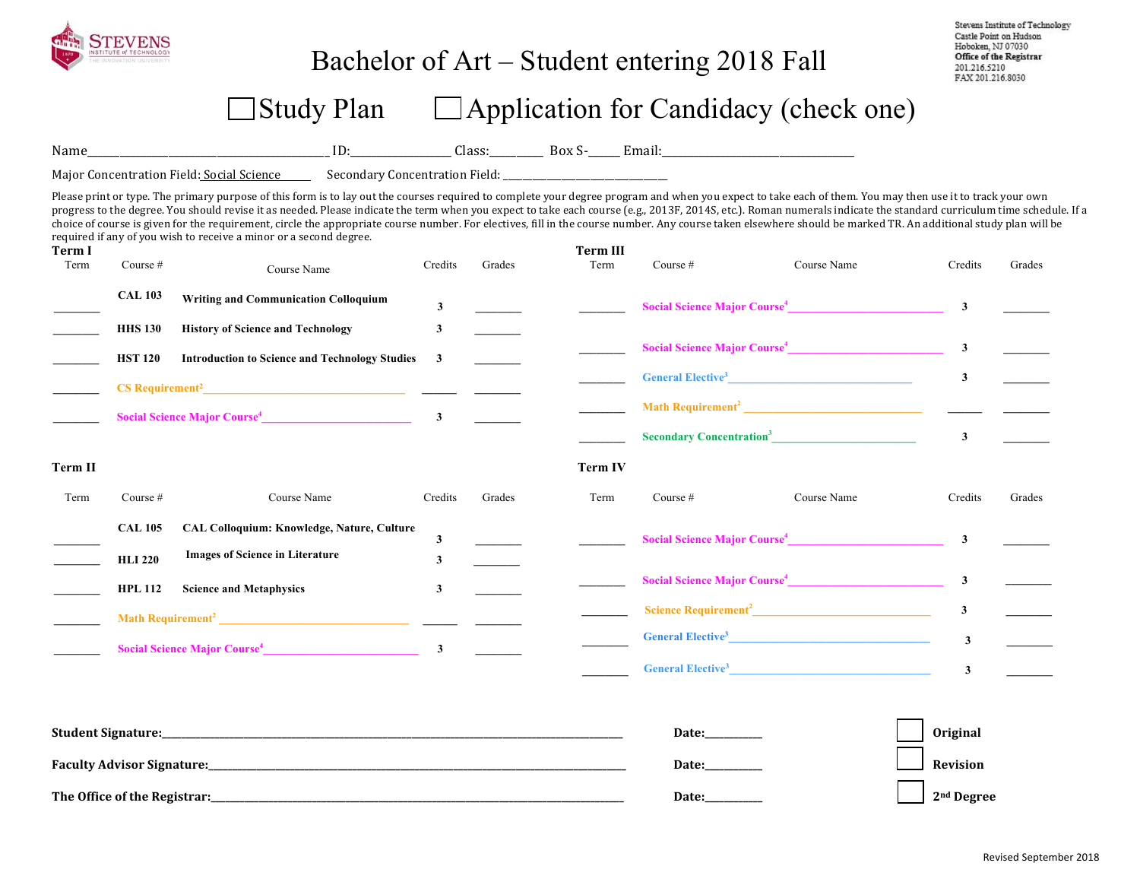

### Bachelor of Art – Student entering 2018 Fall

Stevens Institute of Technology Castle Point on Hudson Hoboken, NJ 07030 Office of the Registrar 201.216.5210 FAX 201.216.8030

## $\Box$  Study Plan  $\Box$  Application for Candidacy (check one)

Name\_\_\_\_\_\_\_\_\_\_\_\_\_\_\_\_\_\_\_\_\_\_\_\_\_\_\_\_\_\_\_\_\_\_\_\_\_\_\_\_\_\_\_\_\_ ID:\_\_\_\_\_\_\_\_\_\_\_\_\_\_\_\_\_\_\_ Class:\_\_\_\_\_\_\_\_\_\_ Box S-\_\_\_\_\_\_ Email:\_\_\_\_\_\_\_\_\_\_\_\_\_\_\_\_\_\_\_\_\_\_\_\_\_\_\_\_\_\_\_\_\_\_\_\_ 

Major Concentration Field: Social Science Secondary Concentration Field: \_\_\_\_\_\_\_\_\_\_\_\_\_\_

Please print or type. The primary purpose of this form is to lay out the courses required to complete your degree program and when you expect to take each of them. You may then use it to track your own progress to the degree. You should revise it as needed. Please indicate the term when you expect to take each course (e.g., 2013F, 2014S, etc.). Roman numerals indicate the standard curriculum time schedule. If a choice of course is given for the requirement, circle the appropriate course number. For electives, fill in the course number. Any course taken elsewhere should be marked TR. An additional study plan will be required if any of you wish to receive a minor or a second degree.

| Term I<br>Term | Course #                                 | Course Name                                                                          | Credits                 | Grades | <b>Term III</b><br>Term | Course $#$ | Course Name                                                  | Credits                 | Grades |
|----------------|------------------------------------------|--------------------------------------------------------------------------------------|-------------------------|--------|-------------------------|------------|--------------------------------------------------------------|-------------------------|--------|
|                | <b>CAL 103</b>                           | <b>Writing and Communication Colloquium</b>                                          | $\mathbf{3}$            |        |                         |            | Social Science Major Course <sup>4</sup> 2008 2012 2022 2023 |                         |        |
|                | <b>HHS 130</b>                           | <b>History of Science and Technology</b>                                             | 3                       |        |                         |            |                                                              |                         |        |
|                | <b>HST 120</b>                           | <b>Introduction to Science and Technology Studies</b>                                | 3                       |        |                         |            | Social Science Major Course <sup>4</sup> 3                   |                         |        |
|                |                                          |                                                                                      |                         |        |                         |            |                                                              | $\mathbf{3}$            |        |
|                | Social Science Major Course <sup>4</sup> |                                                                                      | $\overline{\mathbf{3}}$ |        |                         |            |                                                              |                         |        |
|                |                                          |                                                                                      |                         |        |                         |            | Secondary Concentration <sup>3</sup>                         | $\mathbf{3}$            |        |
| Term II        |                                          |                                                                                      |                         |        | <b>Term IV</b>          |            |                                                              |                         |        |
| Term           | Course $#$                               | Course Name                                                                          | Credits                 | Grades | Term                    | Course $#$ | Course Name                                                  | Credits                 | Grades |
|                | <b>CAL 105</b><br><b>HLI 220</b>         | CAL Colloquium: Knowledge, Nature, Culture<br><b>Images of Science in Literature</b> | 3                       |        |                         |            | Social Science Major Course <sup>4</sup>                     | $\overline{\mathbf{3}}$ |        |
|                | <b>HPL 112</b>                           | <b>Science and Metaphysics</b>                                                       | 3<br>3                  |        |                         |            | Social Science Major Course <sup>4</sup>                     | $\mathbf{3}$            |        |
|                |                                          |                                                                                      |                         |        |                         |            | Science Requirement <sup>2</sup>                             | $\mathbf{3}$            |        |
|                |                                          | Social Science Major Course <sup>4</sup> 3                                           |                         |        |                         |            | General Elective <sup>3</sup>                                | $\overline{\mathbf{3}}$ |        |
|                |                                          |                                                                                      |                         |        |                         |            | <b>General Elective<sup>3</sup></b>                          | 3                       |        |

| <b>Student Signature:</b>         | Date: | Original               |
|-----------------------------------|-------|------------------------|
| <b>Faculty Advisor Signature:</b> | Date: | Revision               |
| The Office of the Registrar:      | Date: | 2 <sup>nd</sup> Degree |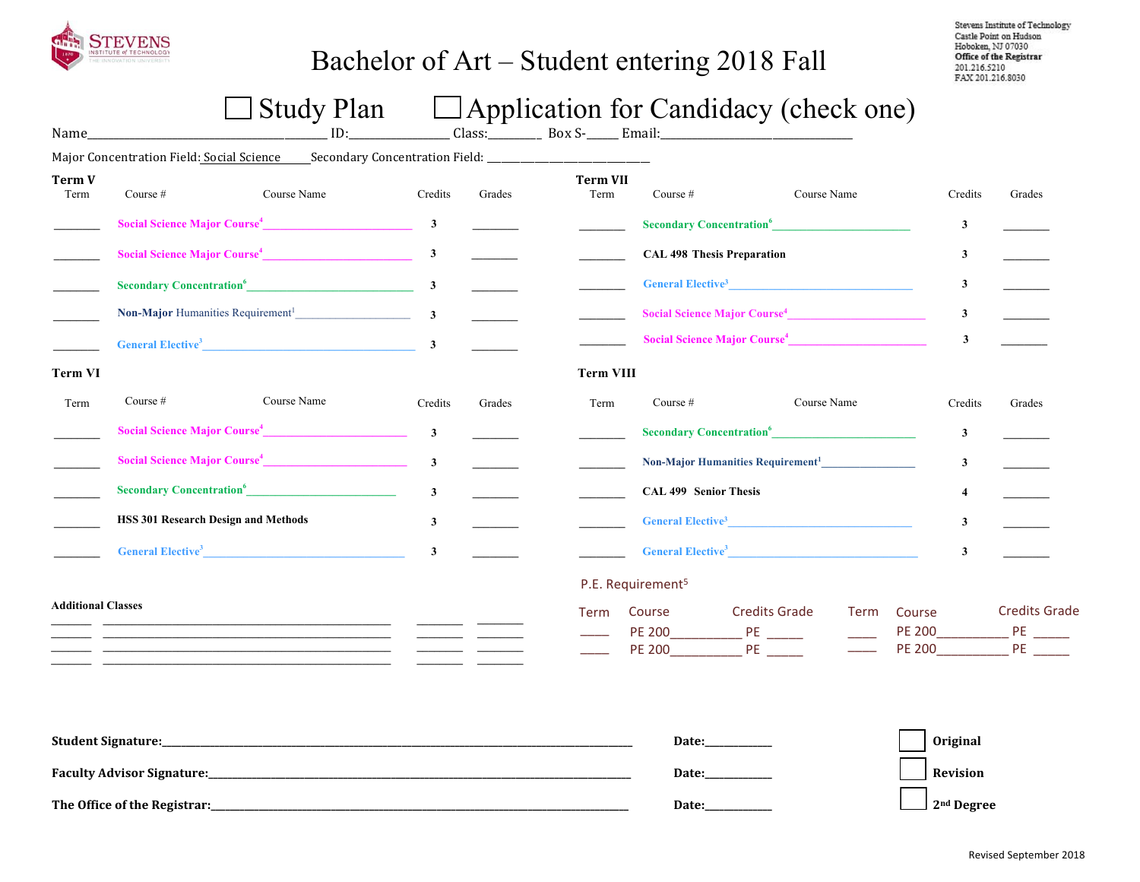

## Bachelor of Art – Student entering 2018 Fall

Stevens Institute of Technology Castle Point on Hudson Hoboken, NJ 07030 Office of the Registrar 201.216.5210 FAX 201.216.8030

# $\Box$  Study Plan  $\Box$  Application for Candidacy (check one)

| Name                      |                                            | $\Box$ $\cup$ $\alpha$ $\alpha$ $\gamma$ $\alpha$ $\alpha$                                                            |                         |        |                         |                                   | $\Box$ reprivation for candidately (check one) |             |                         |                                                                 |
|---------------------------|--------------------------------------------|-----------------------------------------------------------------------------------------------------------------------|-------------------------|--------|-------------------------|-----------------------------------|------------------------------------------------|-------------|-------------------------|-----------------------------------------------------------------|
|                           |                                            | Major Concentration Field: Social Science Secondary Concentration Field: ___________________________                  |                         |        |                         |                                   |                                                |             |                         |                                                                 |
| <b>Term V</b><br>Term     | Course #                                   | Course Name                                                                                                           | Credits                 | Grades | <b>Term VII</b><br>Term | Course $#$                        | Course Name                                    |             | Credits                 | Grades                                                          |
|                           |                                            | Social Science Major Course <sup>4</sup> 3                                                                            |                         |        |                         |                                   | Secondary Concentration <sup>6</sup>           |             | $\mathbf{3}$            |                                                                 |
|                           |                                            | Social Science Major Course <sup>4</sup> 3                                                                            |                         |        |                         | <b>CAL 498 Thesis Preparation</b> |                                                |             | $\mathbf{3}$            |                                                                 |
|                           |                                            | Secondary Concentration <sup>6</sup> 3                                                                                |                         |        |                         |                                   | General Elective <sup>3</sup>                  |             | $\mathbf{3}$            |                                                                 |
|                           |                                            | Non-Major Humanities Requirement <sup>1</sup> 3                                                                       |                         |        |                         |                                   | Social Science Major Course <sup>4</sup>       |             | $\mathbf{3}$            | $\overline{\phantom{a}}$                                        |
|                           |                                            | General Elective <sup>3</sup> 3                                                                                       |                         |        |                         |                                   | Social Science Major Course <sup>4</sup>       |             | $\mathbf{3}$            |                                                                 |
| Term VI                   |                                            |                                                                                                                       |                         |        | <b>Term VIII</b>        |                                   |                                                |             |                         |                                                                 |
| Term                      | Course $#$                                 | Course Name                                                                                                           | Credits                 | Grades | Term                    | Course $#$                        | Course Name                                    |             | Credits                 | Grades                                                          |
|                           |                                            | Social Science Major Course <sup>4</sup>                                                                              | $\mathbf{3}$            |        |                         |                                   | Secondary Concentration <sup>6</sup>           |             | $\mathbf{3}$            |                                                                 |
|                           |                                            | Social Science Major Course <sup>4</sup>                                                                              | $\overline{\mathbf{3}}$ |        |                         |                                   | Non-Major Humanities Requirement <sup>1</sup>  |             | $\mathbf{3}$            |                                                                 |
|                           |                                            | Secondary Concentration <sup>6</sup>                                                                                  | $\mathbf{3}$            |        |                         | <b>CAL 499 Senior Thesis</b>      |                                                |             | $\overline{\mathbf{4}}$ |                                                                 |
|                           | <b>HSS 301 Research Design and Methods</b> |                                                                                                                       | 3                       |        |                         |                                   | General Elective <sup>3</sup>                  |             | $\mathbf{3}$            |                                                                 |
|                           |                                            | <b>General Elective<sup>3</sup></b>                                                                                   | $\mathbf{3}$            |        |                         |                                   | General Elective <sup>3</sup>                  |             | $\mathbf{3}$            |                                                                 |
|                           |                                            |                                                                                                                       |                         |        |                         | P.E. Requirement <sup>5</sup>     |                                                |             |                         |                                                                 |
| <b>Additional Classes</b> |                                            | <u> 1989 - Johann Harry Harry Harry Harry Harry Harry Harry Harry Harry Harry Harry Harry Harry Harry Harry Harry</u> |                         |        | Term                    | Course<br>PE 200 PE               | <b>Credits Grade</b>                           | <b>Term</b> | Course<br><b>PE 200</b> | <b>Credits Grade</b><br><b>PERIODICAL PERIODICAL PERIODICAL</b> |
|                           |                                            |                                                                                                                       |                         |        |                         | Date:                             |                                                |             | <b>Original</b>         |                                                                 |
|                           |                                            |                                                                                                                       |                         |        | Date:___________        |                                   |                                                | Revision    |                         |                                                                 |

**The Office of the Registrar:\_\_\_\_\_\_\_\_\_\_\_\_\_\_\_\_\_\_\_\_\_\_\_\_\_\_\_\_\_\_\_\_\_\_\_\_\_\_\_\_\_\_\_\_\_\_\_\_\_\_\_\_\_\_\_\_\_\_\_\_\_\_\_\_\_\_\_\_\_\_\_\_\_\_\_\_\_\_\_\_\_\_\_\_\_\_\_ Date:\_\_\_\_\_\_\_\_\_\_\_\_\_\_ 2nd Degree**